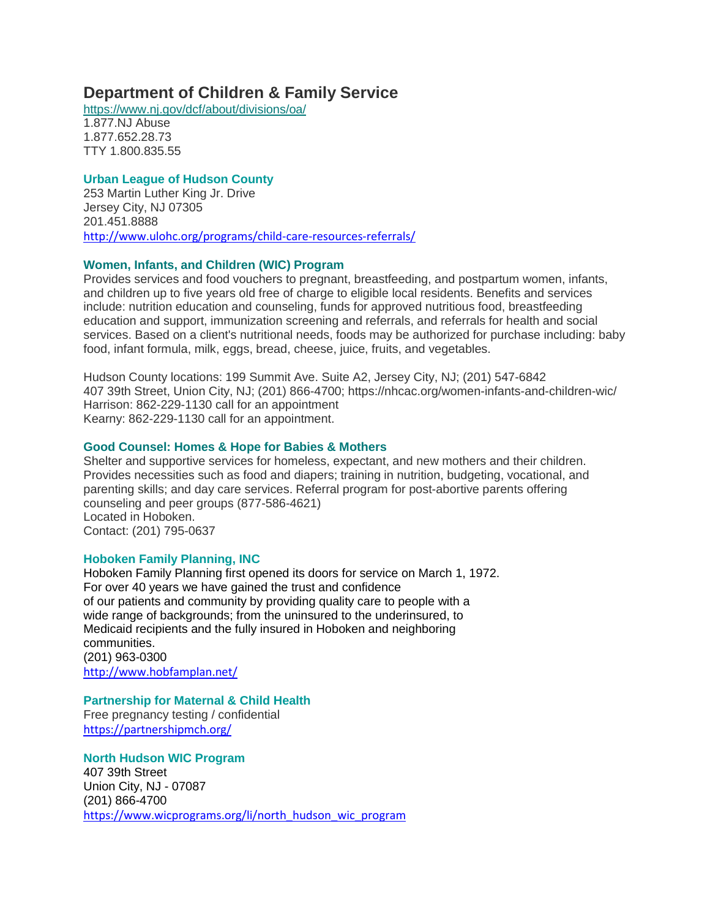# **Department of Children & Family Service**

<https://www.nj.gov/dcf/about/divisions/oa/>

1.877.NJ Abuse 1.877.652.28.73 TTY 1.800.835.55

## **Urban League of Hudson County**

253 Martin Luther King Jr. Drive Jersey City, NJ 07305 201.451.8888 <http://www.ulohc.org/programs/child-care-resources-referrals/>

### **[Women, Infants, and Children \(WIC\) Program](https://www.jerseycitynj.gov/cms/one.aspx?portalId=6189744&pageId=7221053)**

Provides services and food vouchers to pregnant, breastfeeding, and postpartum women, infants, and children up to five years old free of charge to eligible local residents. Benefits and services include: nutrition education and counseling, funds for approved nutritious food, breastfeeding education and support, immunization screening and referrals, and referrals for health and social services. Based on a client's nutritional needs, foods may be authorized for purchase including: baby food, infant formula, milk, eggs, bread, cheese, juice, fruits, and vegetables.

Hudson County locations: 199 Summit Ave. Suite A2, Jersey City, NJ; (201) 547-6842 407 39th Street, Union City, NJ; (201) 866-4700; https://nhcac.org/women-infants-and-children-wic/ Harrison: 862-229-1130 call for an appointment Kearny: 862-229-1130 call for an appointment.

#### **[Good Counsel: Homes & Hope for Babies & Mothers](http://www.goodcounselhomes.org/)**

Shelter and supportive services for homeless, expectant, and new mothers and their children. Provides necessities such as food and diapers; training in nutrition, budgeting, vocational, and parenting skills; and day care services. Referral program for post-abortive parents offering counseling and peer groups (877-586-4621) Located in Hoboken. Contact: (201) 795-0637

### **Hoboken Family Planning, INC**

Hoboken Family Planning first opened its doors for service on March 1, 1972. For over 40 years we have gained the trust and confidence of our patients and community by providing quality care to people with a wide range of backgrounds; from the uninsured to the underinsured, to Medicaid recipients and the fully insured in Hoboken and neighboring communities. (201) 963-0300 <http://www.hobfamplan.net/>

**Partnership for Maternal & Child Health** Free pregnancy testing / confidential

<https://partnershipmch.org/>

**North Hudson WIC Program** 407 39th Street Union City, NJ - 07087 (201) 866-4700 [https://www.wicprograms.org/li/north\\_hudson\\_wic\\_program](https://www.wicprograms.org/li/north_hudson_wic_program)